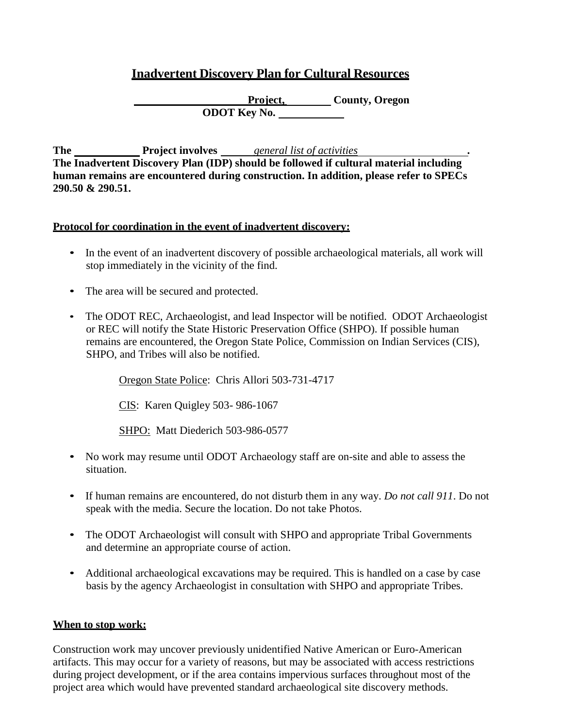# **Inadvertent Discovery Plan for Cultural Resources**

**Project, County, Oregon ODOT Key No.** 

**The Project involves** *general list of activities* **The Inadvertent Discovery Plan (IDP) should be followed if cultural material including human remains are encountered during construction. In addition, please refer to SPECs 290.50 & 290.51.**

## **Protocol for coordination in the event of inadvertent discovery:**

- In the event of an inadvertent discovery of possible archaeological materials, all work will stop immediately in the vicinity of the find.
- The area will be secured and protected.
- The ODOT REC, Archaeologist, and lead Inspector will be notified. ODOT Archaeologist or REC will notify the State Historic Preservation Office (SHPO). If possible human remains are encountered, the Oregon State Police, Commission on Indian Services (CIS), SHPO, and Tribes will also be notified.

Oregon State Police: Chris Allori 503-731-4717

CIS: Karen Quigley 503- 986-1067

SHPO: Matt Diederich 503-986-0577

- No work may resume until ODOT Archaeology staff are on-site and able to assess the situation.
- If human remains are encountered, do not disturb them in any way. *Do not call 911*. Do not speak with the media. Secure the location. Do not take Photos.
- The ODOT Archaeologist will consult with SHPO and appropriate Tribal Governments and determine an appropriate course of action.
- Additional archaeological excavations may be required. This is handled on a case by case basis by the agency Archaeologist in consultation with SHPO and appropriate Tribes.

#### **When to stop work:**

Construction work may uncover previously unidentified Native American or Euro-American artifacts. This may occur for a variety of reasons, but may be associated with access restrictions during project development, or if the area contains impervious surfaces throughout most of the project area which would have prevented standard archaeological site discovery methods.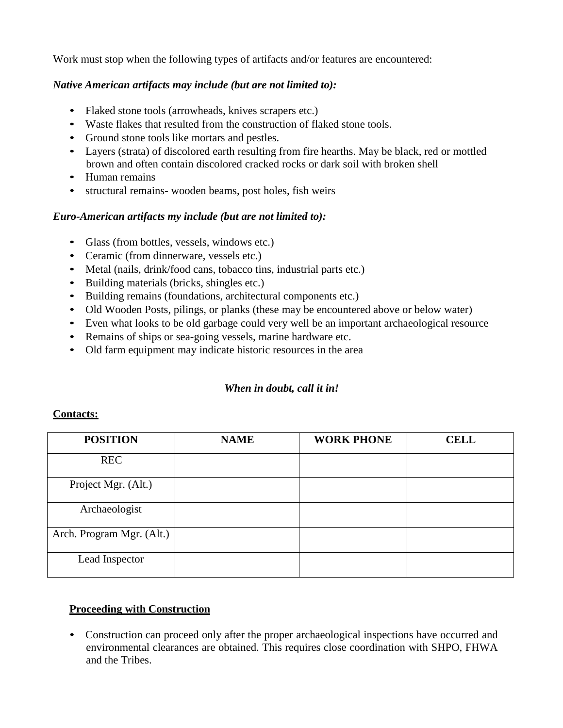Work must stop when the following types of artifacts and/or features are encountered:

# *Native American artifacts may include (but are not limited to):*

- Flaked stone tools (arrowheads, knives scrapers etc.)
- Waste flakes that resulted from the construction of flaked stone tools.
- Ground stone tools like mortars and pestles.
- Layers (strata) of discolored earth resulting from fire hearths. May be black, red or mottled brown and often contain discolored cracked rocks or dark soil with broken shell
- Human remains
- structural remains- wooden beams, post holes, fish weirs

## *Euro-American artifacts my include (but are not limited to):*

- Glass (from bottles, vessels, windows etc.)
- Ceramic (from dinnerware, vessels etc.)
- Metal (nails, drink/food cans, tobacco tins, industrial parts etc.)
- Building materials (bricks, shingles etc.)
- Building remains (foundations, architectural components etc.)
- Old Wooden Posts, pilings, or planks (these may be encountered above or below water)
- Even what looks to be old garbage could very well be an important archaeological resource
- Remains of ships or sea-going vessels, marine hardware etc.
- Old farm equipment may indicate historic resources in the area

# *When in doubt, call it in!*

#### **Contacts:**

| <b>POSITION</b>           | <b>NAME</b> | <b>WORK PHONE</b> | <b>CELL</b> |
|---------------------------|-------------|-------------------|-------------|
| <b>REC</b>                |             |                   |             |
| Project Mgr. (Alt.)       |             |                   |             |
| Archaeologist             |             |                   |             |
| Arch. Program Mgr. (Alt.) |             |                   |             |
| Lead Inspector            |             |                   |             |

# **Proceeding with Construction**

• Construction can proceed only after the proper archaeological inspections have occurred and environmental clearances are obtained. This requires close coordination with SHPO, FHWA and the Tribes.